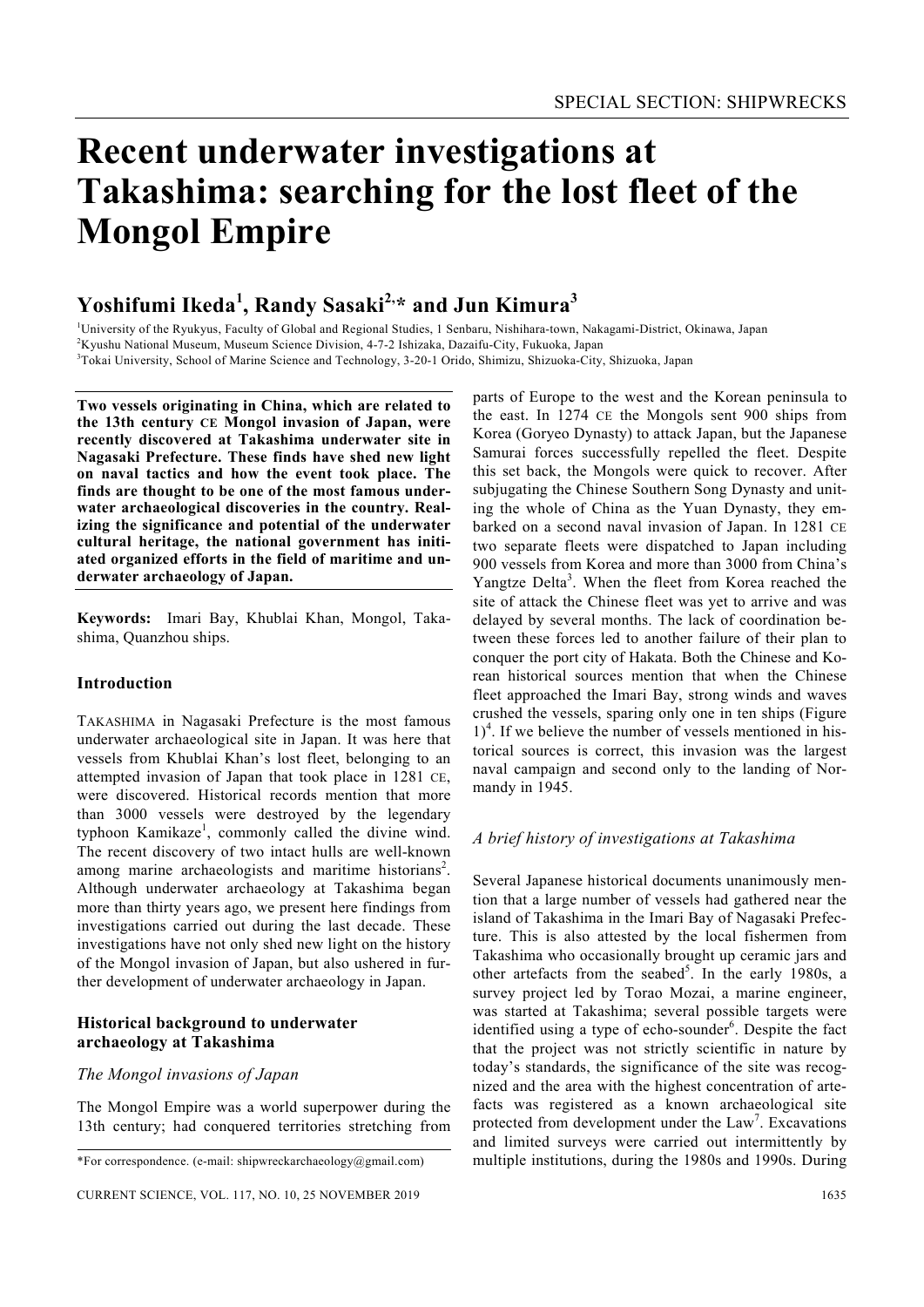# **Recent underwater investigations at Takashima: searching for the lost fleet of the Mongol Empire**

# **Yoshifumi Ikeda<sup>1</sup> , Randy Sasaki2, \* and Jun Kimura<sup>3</sup>**

<sup>1</sup>University of the Ryukyus, Faculty of Global and Regional Studies, 1 Senbaru, Nishihara-town, Nakagami-District, Okinawa, Japan

<sup>2</sup>Kyushu National Museum, Museum Science Division, 4-7-2 Ishizaka, Dazaifu-City, Fukuoka, Japan

<sup>3</sup>Tokai University, School of Marine Science and Technology, 3-20-1 Orido, Shimizu, Shizuoka-City, Shizuoka, Japan

**Two vessels originating in China, which are related to the 13th century CE Mongol invasion of Japan, were recently discovered at Takashima underwater site in Nagasaki Prefecture. These finds have shed new light on naval tactics and how the event took place. The finds are thought to be one of the most famous underwater archaeological discoveries in the country. Realizing the significance and potential of the underwater cultural heritage, the national government has initiated organized efforts in the field of maritime and underwater archaeology of Japan.** 

**Keywords:** Imari Bay, Khublai Khan, Mongol, Takashima, Quanzhou ships.

# **Introduction**

TAKASHIMA in Nagasaki Prefecture is the most famous underwater archaeological site in Japan. It was here that vessels from Khublai Khan's lost fleet, belonging to an attempted invasion of Japan that took place in 1281 CE, were discovered. Historical records mention that more than 3000 vessels were destroyed by the legendary typhoon Kamikaze<sup>1</sup>, commonly called the divine wind. The recent discovery of two intact hulls are well-known among marine archaeologists and maritime historians<sup>2</sup>. Although underwater archaeology at Takashima began more than thirty years ago, we present here findings from investigations carried out during the last decade. These investigations have not only shed new light on the history of the Mongol invasion of Japan, but also ushered in further development of underwater archaeology in Japan.

# **Historical background to underwater archaeology at Takashima**

#### *The Mongol invasions of Japan*

The Mongol Empire was a world superpower during the 13th century; had conquered territories stretching from parts of Europe to the west and the Korean peninsula to the east. In 1274 CE the Mongols sent 900 ships from Korea (Goryeo Dynasty) to attack Japan, but the Japanese Samurai forces successfully repelled the fleet. Despite this set back, the Mongols were quick to recover. After subjugating the Chinese Southern Song Dynasty and uniting the whole of China as the Yuan Dynasty, they embarked on a second naval invasion of Japan. In 1281 CE two separate fleets were dispatched to Japan including 900 vessels from Korea and more than 3000 from China's Yangtze Delta<sup>3</sup>. When the fleet from Korea reached the site of attack the Chinese fleet was yet to arrive and was delayed by several months. The lack of coordination between these forces led to another failure of their plan to conquer the port city of Hakata. Both the Chinese and Korean historical sources mention that when the Chinese fleet approached the Imari Bay, strong winds and waves crushed the vessels, sparing only one in ten ships (Figure  $1)^4$ . If we believe the number of vessels mentioned in historical sources is correct, this invasion was the largest naval campaign and second only to the landing of Normandy in 1945.

# *A brief history of investigations at Takashima*

Several Japanese historical documents unanimously mention that a large number of vessels had gathered near the island of Takashima in the Imari Bay of Nagasaki Prefecture. This is also attested by the local fishermen from Takashima who occasionally brought up ceramic jars and other artefacts from the seabed<sup>5</sup>. In the early 1980s, a survey project led by Torao Mozai, a marine engineer, was started at Takashima; several possible targets were identified using a type of echo-sounder<sup>6</sup>. Despite the fact that the project was not strictly scientific in nature by today's standards, the significance of the site was recognized and the area with the highest concentration of artefacts was registered as a known archaeological site protected from development under the  $Law<sup>7</sup>$ . Excavations and limited surveys were carried out intermittently by multiple institutions, during the 1980s and 1990s. During

<sup>\*</sup>For correspondence. (e-mail: shipwreckarchaeology@gmail.com)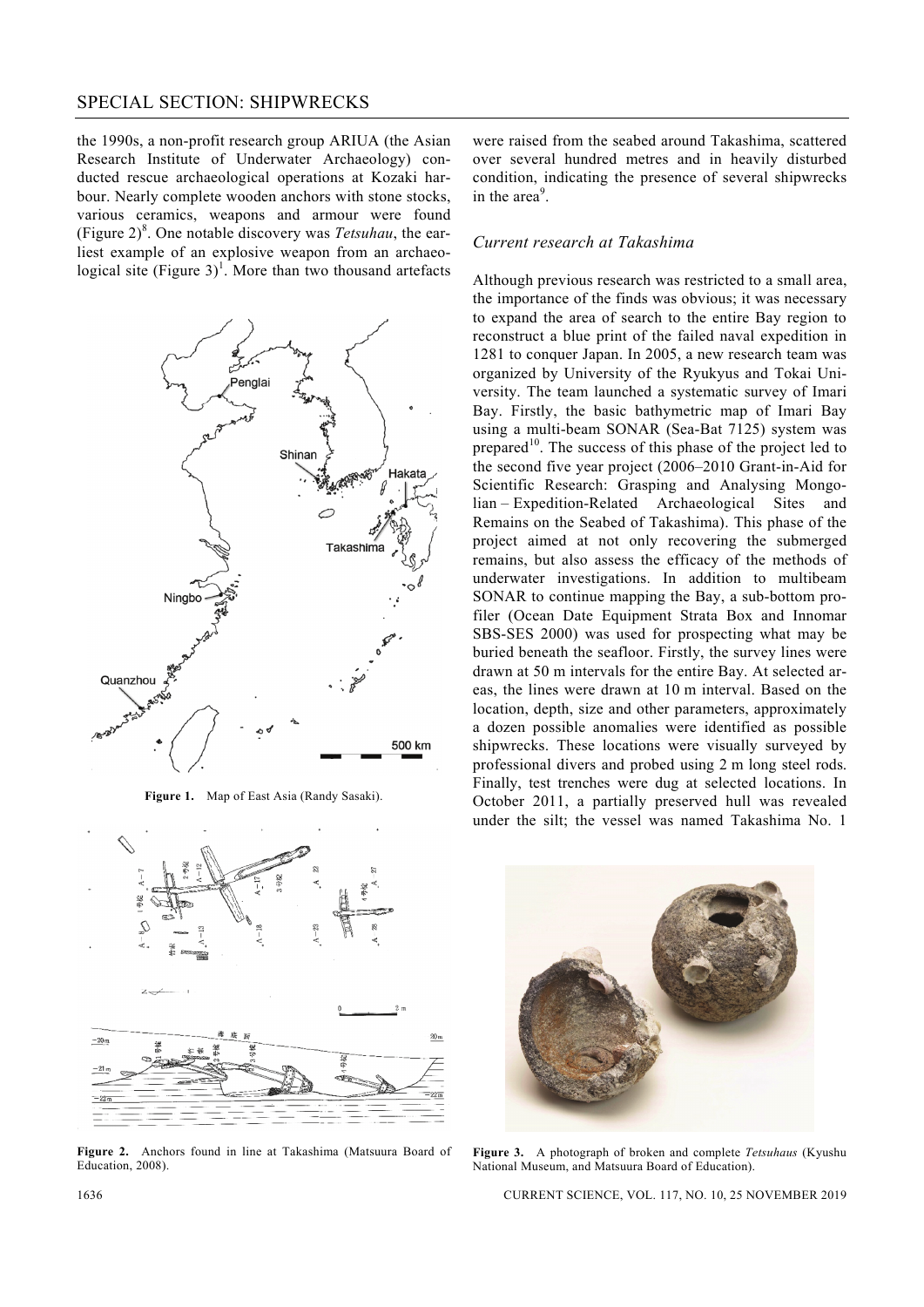# SPECIAL SECTION: SHIPWRECKS

the 1990s, a non-profit research group ARIUA (the Asian Research Institute of Underwater Archaeology) conducted rescue archaeological operations at Kozaki harbour. Nearly complete wooden anchors with stone stocks, various ceramics, weapons and armour were found (Figure  $2)^8$ . One notable discovery was *Tetsuhau*, the earliest example of an explosive weapon from an archaeological site (Figure  $3$ )<sup>1</sup>. More than two thousand artefacts



**Figure 1.** Map of East Asia (Randy Sasaki).



**Figure 2.** Anchors found in line at Takashima (Matsuura Board of Education, 2008).

were raised from the seabed around Takashima, scattered over several hundred metres and in heavily disturbed condition, indicating the presence of several shipwrecks in the area<sup>9</sup>.

#### *Current research at Takashima*

Although previous research was restricted to a small area, the importance of the finds was obvious; it was necessary to expand the area of search to the entire Bay region to reconstruct a blue print of the failed naval expedition in 1281 to conquer Japan. In 2005, a new research team was organized by University of the Ryukyus and Tokai University. The team launched a systematic survey of Imari Bay. Firstly, the basic bathymetric map of Imari Bay using a multi-beam SONAR (Sea-Bat 7125) system was prepared<sup>10</sup>. The success of this phase of the project led to the second five year project (2006–2010 Grant-in-Aid for Scientific Research: Grasping and Analysing Mongolian – Expedition-Related Archaeological Sites and Remains on the Seabed of Takashima). This phase of the project aimed at not only recovering the submerged remains, but also assess the efficacy of the methods of underwater investigations. In addition to multibeam SONAR to continue mapping the Bay, a sub-bottom profiler (Ocean Date Equipment Strata Box and Innomar SBS-SES 2000) was used for prospecting what may be buried beneath the seafloor. Firstly, the survey lines were drawn at 50 m intervals for the entire Bay. At selected areas, the lines were drawn at 10 m interval. Based on the location, depth, size and other parameters, approximately a dozen possible anomalies were identified as possible shipwrecks. These locations were visually surveyed by professional divers and probed using 2 m long steel rods. Finally, test trenches were dug at selected locations. In October 2011, a partially preserved hull was revealed under the silt; the vessel was named Takashima No. 1



**Figure 3.** A photograph of broken and complete *Tetsuhaus* (Kyushu National Museum, and Matsuura Board of Education).

1636 CURRENT SCIENCE, VOL. 117, NO. 10, 25 NOVEMBER 2019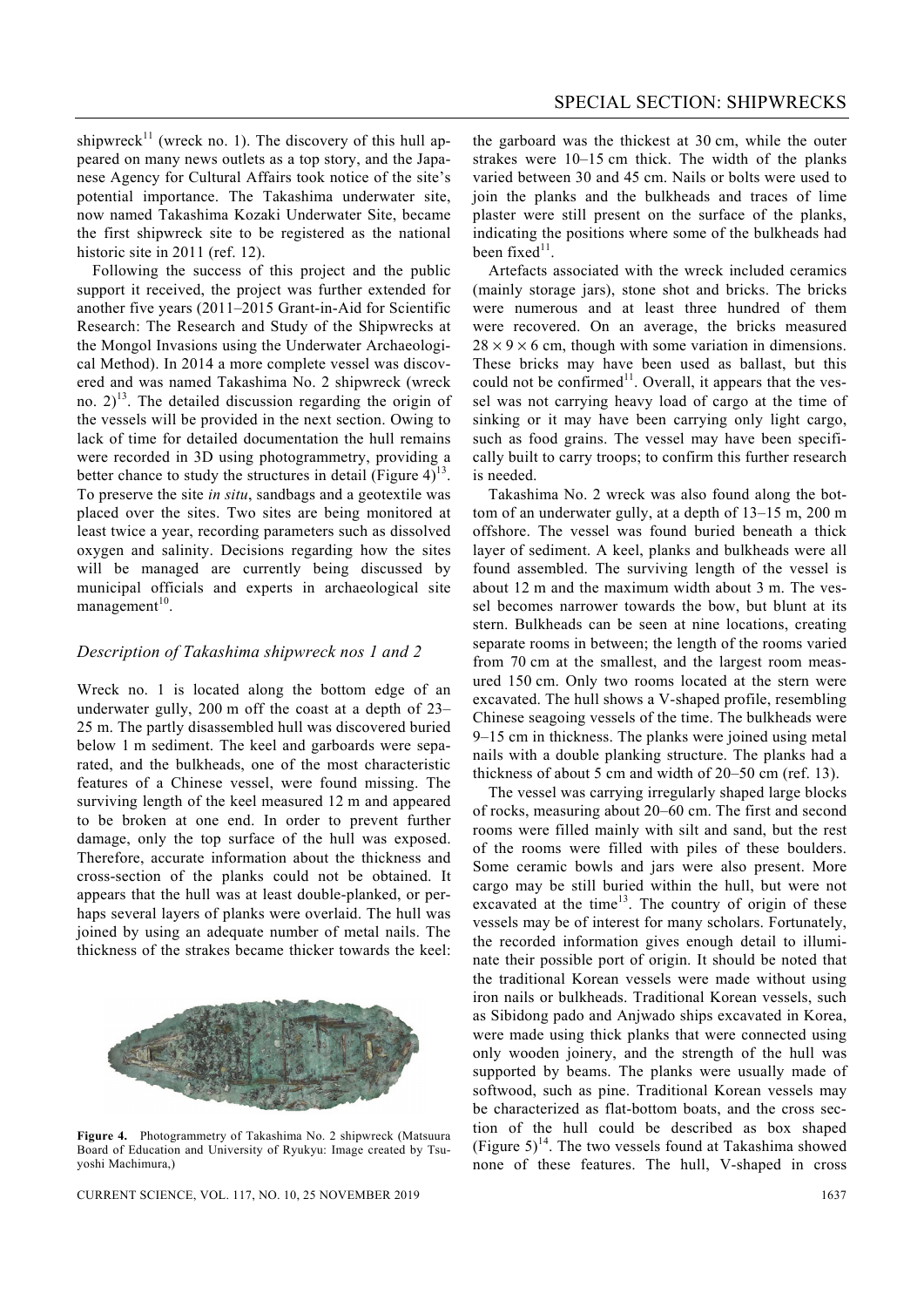shipwreck<sup>11</sup> (wreck no. 1). The discovery of this hull appeared on many news outlets as a top story, and the Japanese Agency for Cultural Affairs took notice of the site's potential importance. The Takashima underwater site, now named Takashima Kozaki Underwater Site, became the first shipwreck site to be registered as the national historic site in 2011 (ref. 12).

 Following the success of this project and the public support it received, the project was further extended for another five years (2011–2015 Grant-in-Aid for Scientific Research: The Research and Study of the Shipwrecks at the Mongol Invasions using the Underwater Archaeological Method). In 2014 a more complete vessel was discovered and was named Takashima No. 2 shipwreck (wreck no.  $2^{13}$ . The detailed discussion regarding the origin of the vessels will be provided in the next section. Owing to lack of time for detailed documentation the hull remains were recorded in 3D using photogrammetry, providing a better chance to study the structures in detail (Figure  $4$ )<sup>13</sup>. To preserve the site *in situ*, sandbags and a geotextile was placed over the sites. Two sites are being monitored at least twice a year, recording parameters such as dissolved oxygen and salinity. Decisions regarding how the sites will be managed are currently being discussed by municipal officials and experts in archaeological site management $10$ .

# *Description of Takashima shipwreck nos 1 and 2*

Wreck no. 1 is located along the bottom edge of an underwater gully, 200 m off the coast at a depth of 23– 25 m. The partly disassembled hull was discovered buried below 1 m sediment. The keel and garboards were separated, and the bulkheads, one of the most characteristic features of a Chinese vessel, were found missing. The surviving length of the keel measured 12 m and appeared to be broken at one end. In order to prevent further damage, only the top surface of the hull was exposed. Therefore, accurate information about the thickness and cross-section of the planks could not be obtained. It appears that the hull was at least double-planked, or perhaps several layers of planks were overlaid. The hull was joined by using an adequate number of metal nails. The thickness of the strakes became thicker towards the keel:



**Figure 4.** Photogrammetry of Takashima No. 2 shipwreck (Matsuura Board of Education and University of Ryukyu: Image created by Tsuyoshi Machimura,)

CURRENT SCIENCE, VOL. 117, NO. 10, 25 NOVEMBER 2019 1637

the garboard was the thickest at 30 cm, while the outer strakes were 10–15 cm thick. The width of the planks varied between 30 and 45 cm. Nails or bolts were used to join the planks and the bulkheads and traces of lime plaster were still present on the surface of the planks, indicating the positions where some of the bulkheads had been fixed<sup>11</sup>.

 Artefacts associated with the wreck included ceramics (mainly storage jars), stone shot and bricks. The bricks were numerous and at least three hundred of them were recovered. On an average, the bricks measured  $28 \times 9 \times 6$  cm, though with some variation in dimensions. These bricks may have been used as ballast, but this could not be confirmed $^{11}$ . Overall, it appears that the vessel was not carrying heavy load of cargo at the time of sinking or it may have been carrying only light cargo, such as food grains. The vessel may have been specifically built to carry troops; to confirm this further research is needed.

 Takashima No. 2 wreck was also found along the bottom of an underwater gully, at a depth of 13–15 m, 200 m offshore. The vessel was found buried beneath a thick layer of sediment. A keel, planks and bulkheads were all found assembled. The surviving length of the vessel is about 12 m and the maximum width about 3 m. The vessel becomes narrower towards the bow, but blunt at its stern. Bulkheads can be seen at nine locations, creating separate rooms in between; the length of the rooms varied from 70 cm at the smallest, and the largest room measured 150 cm. Only two rooms located at the stern were excavated. The hull shows a V-shaped profile, resembling Chinese seagoing vessels of the time. The bulkheads were 9–15 cm in thickness. The planks were joined using metal nails with a double planking structure. The planks had a thickness of about 5 cm and width of 20–50 cm (ref. 13).

 The vessel was carrying irregularly shaped large blocks of rocks, measuring about 20–60 cm. The first and second rooms were filled mainly with silt and sand, but the rest of the rooms were filled with piles of these boulders. Some ceramic bowls and jars were also present. More cargo may be still buried within the hull, but were not excavated at the time<sup>13</sup>. The country of origin of these vessels may be of interest for many scholars. Fortunately, the recorded information gives enough detail to illuminate their possible port of origin. It should be noted that the traditional Korean vessels were made without using iron nails or bulkheads. Traditional Korean vessels, such as Sibidong pado and Anjwado ships excavated in Korea, were made using thick planks that were connected using only wooden joinery, and the strength of the hull was supported by beams. The planks were usually made of softwood, such as pine. Traditional Korean vessels may be characterized as flat-bottom boats, and the cross section of the hull could be described as box shaped (Figure  $5)^{14}$ . The two vessels found at Takashima showed none of these features. The hull, V-shaped in cross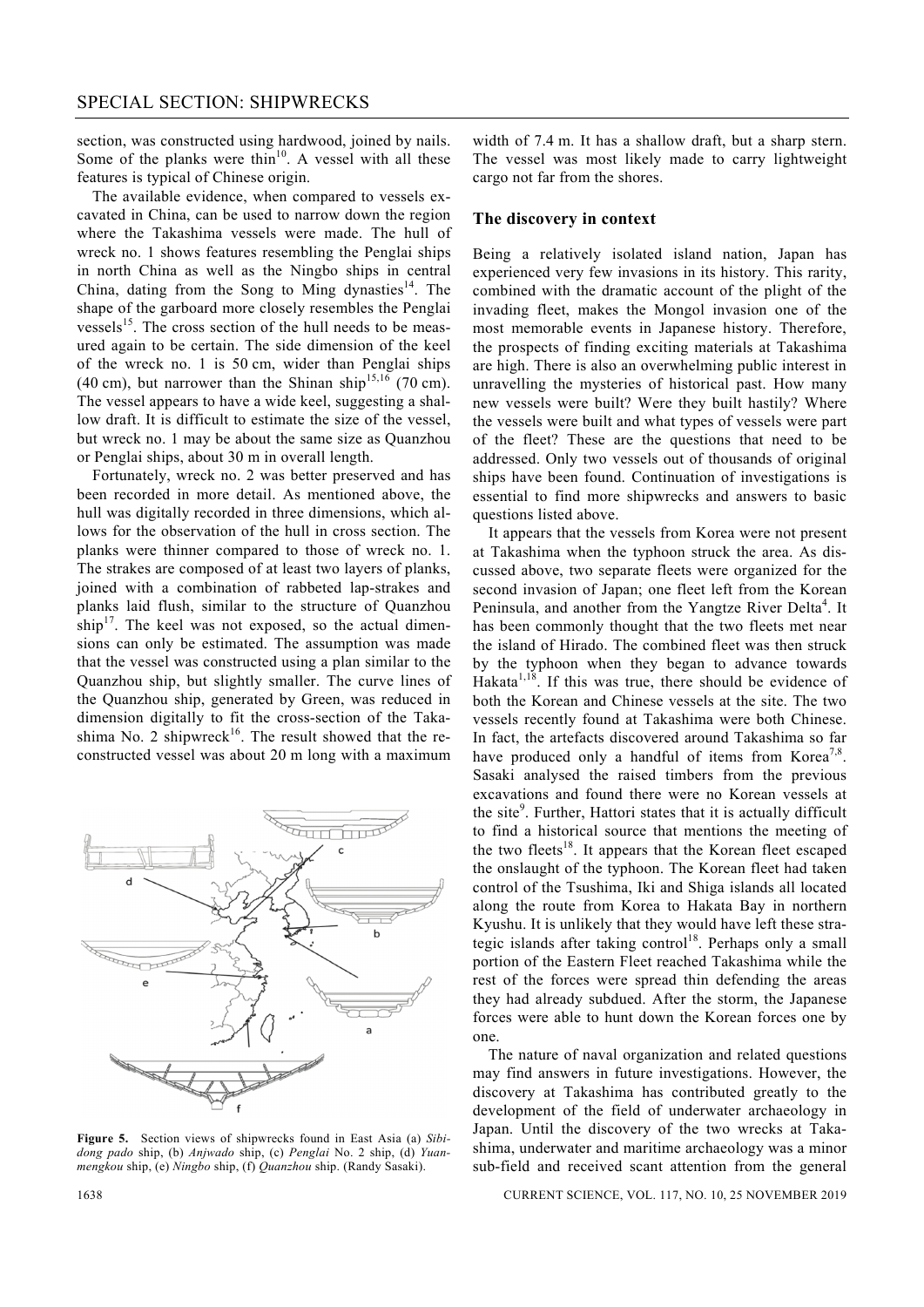section, was constructed using hardwood, joined by nails. Some of the planks were thin<sup>10</sup>. A vessel with all these features is typical of Chinese origin.

The available evidence, when compared to vessels excavated in China, can be used to narrow down the region where the Takashima vessels were made. The hull of wreck no. 1 shows features resembling the Penglai ships in north China as well as the Ningbo ships in central China, dating from the Song to Ming dynasties $14$ . The shape of the garboard more closely resembles the Penglai vessels<sup>15</sup>. The cross section of the hull needs to be measured again to be certain. The side dimension of the keel of the wreck no. 1 is 50 cm, wider than Penglai ships (40 cm), but narrower than the Shinan ship<sup>15,16</sup> (70 cm). The vessel appears to have a wide keel, suggesting a shallow draft. It is difficult to estimate the size of the vessel, but wreck no. 1 may be about the same size as Quanzhou or Penglai ships, about 30 m in overall length.

Fortunately, wreck no. 2 was better preserved and has been recorded in more detail. As mentioned above, the hull was digitally recorded in three dimensions, which allows for the observation of the hull in cross section. The planks were thinner compared to those of wreck no. 1. The strakes are composed of at least two layers of planks, joined with a combination of rabbeted lap-strakes and planks laid flush, similar to the structure of Quanzhou  $\sinh^{-17}$ . The keel was not exposed, so the actual dimensions can only be estimated. The assumption was made that the vessel was constructed using a plan similar to the Quanzhou ship, but slightly smaller. The curve lines of the Quanzhou ship, generated by Green, was reduced in dimension digitally to fit the cross-section of the Takashima No. 2 shipwreck<sup>16</sup>. The result showed that the reconstructed vessel was about 20 m long with a maximum



**Figure 5.** Section views of shipwrecks found in East Asia (a) *Sibidong pado* ship, (b) *Anjwado* ship, (c) *Penglai* No. 2 ship, (d) *Yuanmengkou* ship, (e) *Ningbo* ship, (f) *Quanzhou* ship. (Randy Sasaki).

width of 7.4 m. It has a shallow draft, but a sharp stern. The vessel was most likely made to carry lightweight cargo not far from the shores.

# **The discovery in context**

Being a relatively isolated island nation, Japan has experienced very few invasions in its history. This rarity, combined with the dramatic account of the plight of the invading fleet, makes the Mongol invasion one of the most memorable events in Japanese history. Therefore, the prospects of finding exciting materials at Takashima are high. There is also an overwhelming public interest in unravelling the mysteries of historical past. How many new vessels were built? Were they built hastily? Where the vessels were built and what types of vessels were part of the fleet? These are the questions that need to be addressed. Only two vessels out of thousands of original ships have been found. Continuation of investigations is essential to find more shipwrecks and answers to basic questions listed above.

 It appears that the vessels from Korea were not present at Takashima when the typhoon struck the area. As discussed above, two separate fleets were organized for the second invasion of Japan; one fleet left from the Korean Peninsula, and another from the Yangtze River Delta<sup>4</sup>. It has been commonly thought that the two fleets met near the island of Hirado. The combined fleet was then struck by the typhoon when they began to advance towards Hakata $1,18$ . If this was true, there should be evidence of both the Korean and Chinese vessels at the site. The two vessels recently found at Takashima were both Chinese. In fact, the artefacts discovered around Takashima so far have produced only a handful of items from Korea<sup>7,8</sup>. Sasaki analysed the raised timbers from the previous excavations and found there were no Korean vessels at the site<sup>9</sup>. Further, Hattori states that it is actually difficult to find a historical source that mentions the meeting of the two fleets<sup>18</sup>. It appears that the Korean fleet escaped the onslaught of the typhoon. The Korean fleet had taken control of the Tsushima, Iki and Shiga islands all located along the route from Korea to Hakata Bay in northern Kyushu. It is unlikely that they would have left these strategic islands after taking control<sup>18</sup>. Perhaps only a small portion of the Eastern Fleet reached Takashima while the rest of the forces were spread thin defending the areas they had already subdued. After the storm, the Japanese forces were able to hunt down the Korean forces one by one.

 The nature of naval organization and related questions may find answers in future investigations. However, the discovery at Takashima has contributed greatly to the development of the field of underwater archaeology in Japan. Until the discovery of the two wrecks at Takashima, underwater and maritime archaeology was a minor sub-field and received scant attention from the general

1638 CURRENT SCIENCE, VOL. 117, NO. 10, 25 NOVEMBER 2019